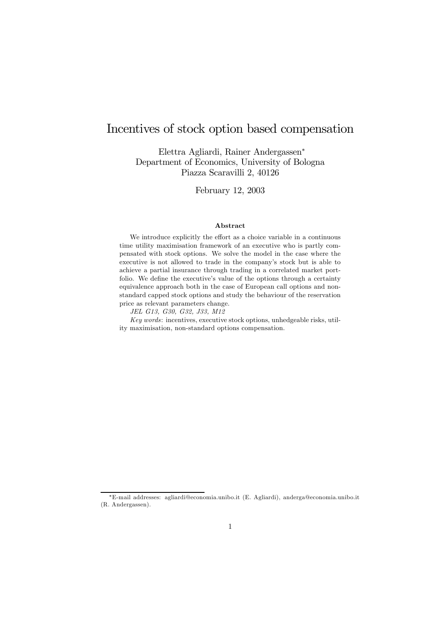# Incentives of stock option based compensation

Elettra Agliardi, Rainer Andergassen<sup>∗</sup> Department of Economics, University of Bologna Piazza Scaravilli 2, 40126

February 12, 2003

#### Abstract

We introduce explicitly the effort as a choice variable in a continuous time utility maximisation framework of an executive who is partly compensated with stock options. We solve the model in the case where the executive is not allowed to trade in the company's stock but is able to achieve a partial insurance through trading in a correlated market portfolio. We define the executive's value of the options through a certainty equivalence approach both in the case of European call options and nonstandard capped stock options and study the behaviour of the reservation price as relevant parameters change.

JEL G13, G30, G32, J33, M12

Key words: incentives, executive stock options, unhedgeable risks, utility maximisation, non-standard options compensation.

<sup>∗</sup>E-mail addresses: agliardi@economia.unibo.it (E. Agliardi), anderga@economia.unibo.it (R. Andergassen).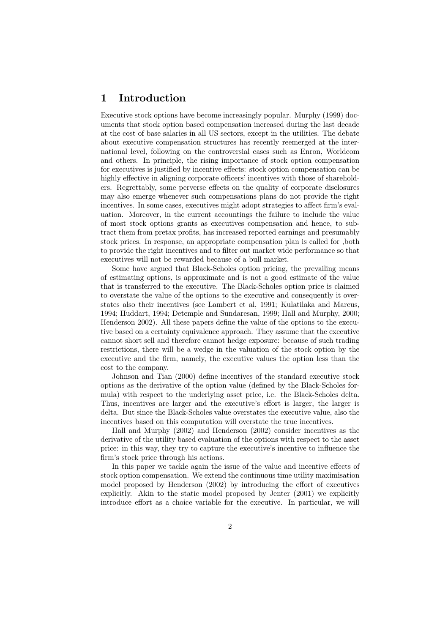# 1 Introduction

Executive stock options have become increasingly popular. Murphy (1999) documents that stock option based compensation increased during the last decade at the cost of base salaries in all US sectors, except in the utilities. The debate about executive compensation structures has recently reemerged at the international level, following on the controversial cases such as Enron, Worldcom and others. In principle, the rising importance of stock option compensation for executives is justified by incentive effects: stock option compensation can be highly effective in aligning corporate officers' incentives with those of shareholders. Regrettably, some perverse effects on the quality of corporate disclosures may also emerge whenever such compensations plans do not provide the right incentives. In some cases, executives might adopt strategies to affect firm's evaluation. Moreover, in the current accountings the failure to include the value of most stock options grants as executives compensation and hence, to subtract them from pretax profits, has increased reported earnings and presumably stock prices. In response, an appropriate compensation plan is called for ,both to provide the right incentives and to filter out market wide performance so that executives will not be rewarded because of a bull market.

Some have argued that Black-Scholes option pricing, the prevailing means of estimating options, is approximate and is not a good estimate of the value that is transferred to the executive. The Black-Scholes option price is claimed to overstate the value of the options to the executive and consequently it overstates also their incentives (see Lambert et al, 1991; Kulatilaka and Marcus, 1994; Huddart, 1994; Detemple and Sundaresan, 1999; Hall and Murphy, 2000; Henderson 2002). All these papers define the value of the options to the executive based on a certainty equivalence approach. They assume that the executive cannot short sell and therefore cannot hedge exposure: because of such trading restrictions, there will be a wedge in the valuation of the stock option by the executive and the firm, namely, the executive values the option less than the cost to the company.

Johnson and Tian (2000) define incentives of the standard executive stock options as the derivative of the option value (defined by the Black-Scholes formula) with respect to the underlying asset price, i.e. the Black-Scholes delta. Thus, incentives are larger and the executive's effort is larger, the larger is delta. But since the Black-Scholes value overstates the executive value, also the incentives based on this computation will overstate the true incentives.

Hall and Murphy (2002) and Henderson (2002) consider incentives as the derivative of the utility based evaluation of the options with respect to the asset price: in this way, they try to capture the executive's incentive to influence the firm's stock price through his actions.

In this paper we tackle again the issue of the value and incentive effects of stock option compensation. We extend the continuous time utility maximisation model proposed by Henderson (2002) by introducing the effort of executives explicitly. Akin to the static model proposed by Jenter (2001) we explicitly introduce effort as a choice variable for the executive. In particular, we will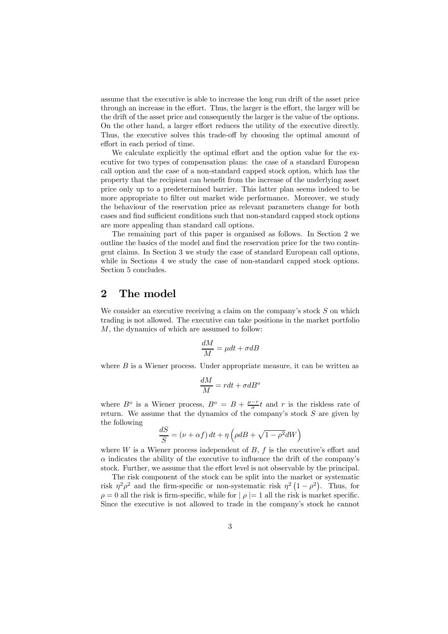assume that the executive is able to increase the long run drift of the asset price through an increase in the effort. Thus, the larger is the effort, the larger will be the drift of the asset price and consequently the larger is the value of the options. On the other hand, a larger effort reduces the utility of the executive directly. Thus, the executive solves this trade-off by choosing the optimal amount of effort in each period of time.

We calculate explicitly the optimal effort and the option value for the executive for two types of compensation plans: the case of a standard European call option and the case of a non-standard capped stock option, which has the property that the recipient can benefit from the increase of the underlying asset price only up to a predetermined barrier. This latter plan seems indeed to be more appropriate to filter out market wide performance. Moreover, we study the behaviour of the reservation price as relevant parameters change for both cases and find sufficient conditions such that non-standard capped stock options are more appealing than standard call options.

The remaining part of this paper is organised as follows. In Section 2 we outline the basics of the model and find the reservation price for the two contingent claims. In Section 3 we study the case of standard European call options, while in Sections 4 we study the case of non-standard capped stock options. Section 5 concludes.

# 2 The model

We consider an executive receiving a claim on the company's stock  $S$  on which trading is not allowed. The executive can take positions in the market portfolio M, the dynamics of which are assumed to follow:

$$
\frac{dM}{M}=\mu dt+\sigma dB
$$

where  $B$  is a Wiener process. Under appropriate measure, it can be written as

$$
\frac{dM}{M} = rdt + \sigma dB^o
$$

where  $B^o$  is a Wiener process,  $B^o = B + \frac{\mu - r}{\sigma}t$  and r is the riskless rate of return. We assume that the dynamics of the company's stock  $S$  are given by the following

$$
\frac{dS}{S} = (\nu + \alpha f) dt + \eta \left( \rho dB + \sqrt{1 - \rho^2} dW \right)
$$

where  $W$  is a Wiener process independent of  $B$ ,  $f$  is the executive's effort and  $\alpha$  indicates the ability of the executive to influence the drift of the company's stock. Further, we assume that the effort level is not observable by the principal.

The risk component of the stock can be split into the market or systematic risk  $\eta^2 \rho^2$  and the firm-specific or non-systematic risk  $\eta^2 (1 - \rho^2)$ . Thus, for  $\rho = 0$  all the risk is firm-specific, while for  $|\rho| = 1$  all the risk is market specific. Since the executive is not allowed to trade in the company's stock he cannot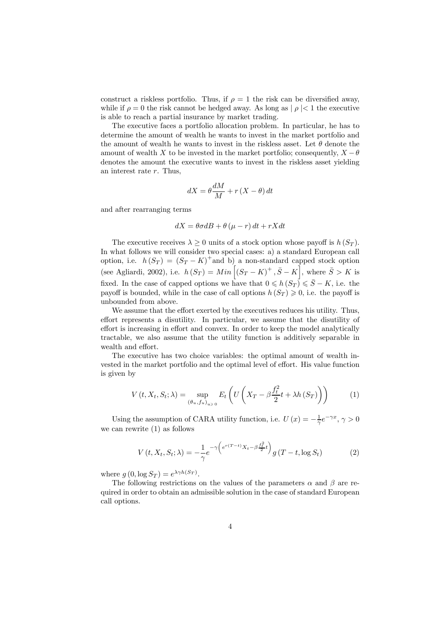construct a riskless portfolio. Thus, if  $\rho = 1$  the risk can be diversified away, while if  $\rho = 0$  the risk cannot be hedged away. As long as  $| \rho | < 1$  the executive is able to reach a partial insurance by market trading.

The executive faces a portfolio allocation problem. In particular, he has to determine the amount of wealth he wants to invest in the market portfolio and the amount of wealth he wants to invest in the riskless asset. Let  $\theta$  denote the amount of wealth X to be invested in the market portfolio; consequently,  $X - \theta$ denotes the amount the executive wants to invest in the riskless asset yielding an interest rate r. Thus,

$$
dX = \theta \frac{dM}{M} + r(X - \theta) dt
$$

and after rearranging terms

$$
dX = \theta \sigma dB + \theta (\mu - r) dt + rX dt
$$

The executive receives  $\lambda \geq 0$  units of a stock option whose payoff is  $h(S_T)$ . In what follows we will consider two special cases: a) a standard European call option, i.e.  $h(S_T) = (S_T - K)^+$ and b) a non-standard capped stock option (see Agliardi, 2002), i.e.  $h(S_T) = Min \left[ (S_T - K)^+, \overline{S} - K \right]$ , where  $\overline{S} > K$  is fixed. In the case of capped options we have that  $0 \leq h(S_T) \leq \overline{S} - K$ , i.e. the payoff is bounded, while in the case of call options  $h(S_T) \geq 0$ , i.e. the payoff is unbounded from above.

We assume that the effort exerted by the executives reduces his utility. Thus, effort represents a disutility. In particular, we assume that the disutility of effort is increasing in effort and convex. In order to keep the model analytically tractable, we also assume that the utility function is additively separable in wealth and effort.

The executive has two choice variables: the optimal amount of wealth invested in the market portfolio and the optimal level of effort. His value function is given by

$$
V(t, X_t, S_t; \lambda) = \sup_{(\theta_u, f_u)_{u \ge 0}} E_t \left( U \left( X_T - \beta \frac{f_t^2}{2} t + \lambda h \left( S_T \right) \right) \right) \tag{1}
$$

Using the assumption of CARA utility function, i.e.  $U(x) = -\frac{1}{\gamma}e^{-\gamma x}, \gamma > 0$ we can rewrite (1) as follows

$$
V(t, X_t, S_t; \lambda) = -\frac{1}{\gamma} e^{-\gamma \left(e^{r(T-t)} X_t - \beta \frac{f_t^2}{2} t\right)} g\left(T - t, \log S_t\right) \tag{2}
$$

where  $g(0, \log S_T) = e^{\lambda \gamma h(S_T)}$ .

The following restrictions on the values of the parameters  $\alpha$  and  $\beta$  are required in order to obtain an admissible solution in the case of standard European call options.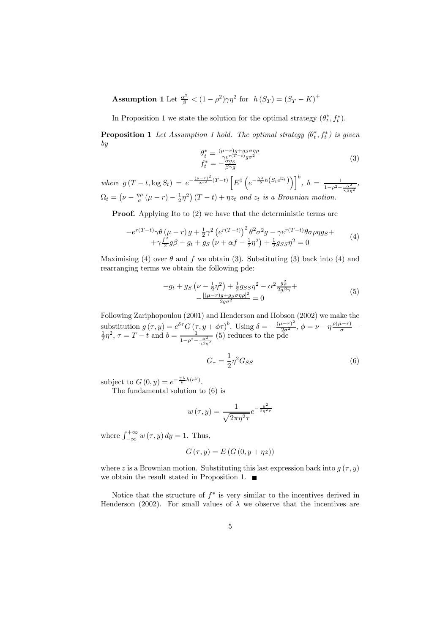Assumption 1 Let  $\frac{\alpha^2}{\beta} < (1 - \rho^2)\gamma\eta^2$  for  $h(S_T) = (S_T - K)^+$ 

In Proposition 1 we state the solution for the optimal strategy  $(\theta_t^*, f_t^*)$ .

**Proposition 1** Let Assumption 1 hold. The optimal strategy  $(\theta_t^*, f_t^*)$  is given by

$$
\theta_t^* = \frac{(\mu - r)g + g_S \sigma \eta \rho}{\gamma e^{r(T-t)} g \sigma^2} \nf_t^* = -\frac{\alpha g_S}{\beta \gamma g}
$$
\n(3)

where  $g(T-t, \log S_t) = e^{-\frac{(\mu - r)^2}{2\sigma^2}(T-t)} \left[ E^0 \left( e^{-\frac{\gamma \lambda}{b}h(S_t e^{\Omega_t})} \right) \right]^b$ ,  $b = \frac{1}{1 - \rho^2 - \frac{\alpha^2}{\gamma \beta \eta^2}}$ ,  $\Omega_t = \left(\nu - \frac{\eta \rho}{\sigma}(\mu - r) - \frac{1}{2}\eta^2\right)(T - t) + \eta z_t$  and  $z_t$  is a Brownian motion.

**Proof.** Applying Ito to (2) we have that the deterministic terms are

$$
-e^{r(T-t)}\gamma\theta(\mu-r)g + \frac{1}{2}\gamma^2 \left(e^{r(T-t)}\right)^2 \theta^2 \sigma^2 g - \gamma e^{r(T-t)}\theta \sigma \rho \eta g_S + + \gamma \frac{f^2}{2}g\beta - g_t + g_S\left(\nu + \alpha f - \frac{1}{2}\eta^2\right) + \frac{1}{2}g_{SS}\eta^2 = 0
$$
\n(4)

Maximising (4) over  $\theta$  and  $f$  we obtain (3). Substituting (3) back into (4) and rearranging terms we obtain the following pde:

$$
-g_t + g_S \left(\nu - \frac{1}{2}\eta^2\right) + \frac{1}{2}g_{SS}\eta^2 - \alpha^2 \frac{g_S^2}{2g\beta\gamma} + \frac{[(\mu - r)g + g_S\sigma\eta\rho]^2}{2g\sigma^2} = 0
$$
\n(5)

Following Zariphopoulou (2001) and Henderson and Hobson (2002) we make the substitution  $g(\tau, y) = e^{\delta \tau} G(\tau, y + \phi \tau)^b$ . Using  $\delta = -\frac{(\mu - \tau)^2}{2\sigma^2}$ ,  $\phi = \nu - \eta \frac{\rho(\mu - \tau)}{\sigma} - \frac{1}{2}\eta^2$ ,  $\tau = T - t$  and  $b = \frac{1}{1 - \rho^2 - \frac{\alpha^2}{\gamma \beta \eta^2}}$  (5) reduces to the pde

$$
G_{\tau} = \frac{1}{2} \eta^2 G_{SS} \tag{6}
$$

subject to  $G(0, y) = e^{-\frac{\gamma \lambda}{b}h(e^y)}$ .

The fundamental solution to (6) is

$$
w(\tau, y) = \frac{1}{\sqrt{2\pi\eta^2\tau}}e^{-\frac{y^2}{2\eta^2\tau}}
$$

where  $\int_{-\infty}^{+\infty} w(\tau, y) dy = 1$ . Thus,

$$
G(\tau, y) = E(G(0, y + \eta z))
$$

where z is a Brownian motion. Substituting this last expression back into  $g(\tau, y)$ we obtain the result stated in Proposition 1.

Notice that the structure of  $f^*$  is very similar to the incentives derived in Henderson (2002). For small values of  $\lambda$  we observe that the incentives are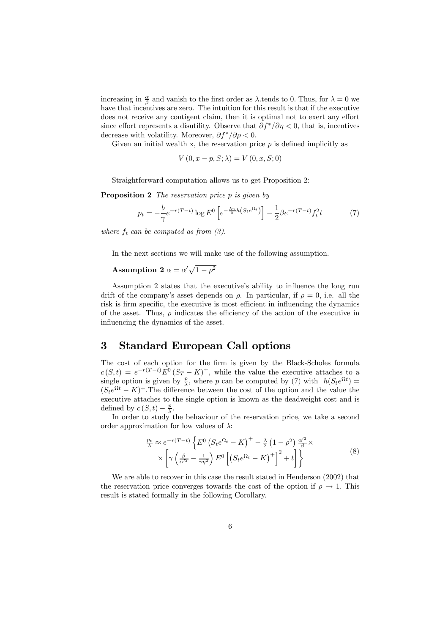increasing in  $\frac{\alpha}{\beta}$  and vanish to the first order as  $\lambda$  tends to 0. Thus, for  $\lambda = 0$  we have that incentives are zero. The intuition for this result is that if the executive does not receive any contigent claim, then it is optimal not to exert any effort since effort represents a disutility. Observe that  $\partial f^* / \partial \eta < 0$ , that is, incentives decrease with volatility. Moreover,  $\partial f^* / \partial \rho < 0$ .

Given an initial wealth x, the reservation price  $p$  is defined implicitly as

$$
V(0, x - p, S; \lambda) = V(0, x, S; 0)
$$

Straightforward computation allows us to get Proposition 2:

Proposition 2 The reservation price p is given by

$$
p_t = -\frac{b}{\gamma} e^{-r(T-t)} \log E^0 \left[ e^{-\frac{\lambda \gamma}{b} h \left( S_t e^{\Omega_t} \right)} \right] - \frac{1}{2} \beta e^{-r(T-t)} f_t^2 t \tag{7}
$$

where  $f_t$  can be computed as from  $(3)$ .

In the next sections we will make use of the following assumption.

# Assumption 2  $\alpha = \alpha' \sqrt{1 - \rho^2}$

Assumption 2 states that the executive's ability to influence the long run drift of the company's asset depends on  $\rho$ . In particular, if  $\rho = 0$ , i.e. all the risk is firm specific, the executive is most efficient in influencing the dynamics of the asset. Thus,  $\rho$  indicates the efficiency of the action of the executive in influencing the dynamics of the asset.

### 3 Standard European Call options

The cost of each option for the firm is given by the Black-Scholes formula  $c(S,t) = e^{-r(T-t)}E^0(S_T - K)^+$ , while the value the executive attaches to a single option is given by  $\frac{p}{\lambda}$ , where p can be computed by (7) with  $h(S_t e^{\Omega t}) =$  $(S_t e^{\Omega t} - K)^+$ . The difference between the cost of the option and the value the executive attaches to the single option is known as the deadweight cost and is defined by  $c(S, t) - \frac{p}{\lambda}$ .

In order to study the behaviour of the reservation price, we take a second order approximation for low values of  $\lambda$ :

$$
\frac{p_t}{\lambda} \approx e^{-r(T-t)} \left\{ E^0 \left( S_t e^{\Omega_t} - K \right)^+ - \frac{\lambda}{2} \left( 1 - \rho^2 \right) \frac{\alpha'^2}{\beta} \times \right\} \times \left[ \gamma \left( \frac{\beta}{\alpha'^2} - \frac{1}{\gamma \eta^2} \right) E^0 \left[ \left( S_t e^{\Omega_t} - K \right)^+ \right]^2 + t \right] \right\}
$$
\n(8)

We are able to recover in this case the result stated in Henderson (2002) that the reservation price converges towards the cost of the option if  $\rho \rightarrow 1$ . This result is stated formally in the following Corollary.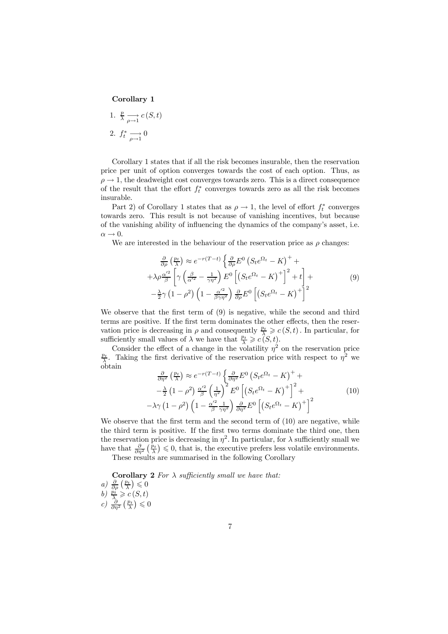#### Corollary 1

1. 
$$
\frac{p}{\lambda} \underset{\rho \to 1}{\longrightarrow} c(S, t)
$$
  
2. 
$$
f_t^* \underset{\rho \to 1}{\longrightarrow} 0
$$

Corollary 1 states that if all the risk becomes insurable, then the reservation price per unit of option converges towards the cost of each option. Thus, as  $\rho \rightarrow 1$ , the deadweight cost converges towards zero. This is a direct consequence of the result that the effort  $f_t^*$  converges towards zero as all the risk becomes insurable.

Part 2) of Corollary 1 states that as  $\rho \to 1$ , the level of effort  $f_t^*$  converges towards zero. This result is not because of vanishing incentives, but because of the vanishing ability of influencing the dynamics of the company's asset, i.e.  $\alpha \rightarrow 0.$ 

We are interested in the behaviour of the reservation price as  $\rho$  changes:

$$
\frac{\partial}{\partial \rho} \left( \frac{p_t}{\lambda} \right) \approx e^{-r(T-t)} \left\{ \frac{\partial}{\partial \rho} E^0 \left( S_t e^{\Omega_t} - K \right)^+ + \right. \n+ \lambda \rho \frac{\alpha'^2}{\beta} \left[ \gamma \left( \frac{\beta}{\alpha'^2} - \frac{1}{\gamma \eta^2} \right) E^0 \left[ \left( S_t e^{\Omega_t} - K \right)^+ \right]^2 + t \right] + \left. \right. \n- \frac{\lambda}{2} \gamma \left( 1 - \rho^2 \right) \left( 1 - \frac{\alpha'^2}{\beta \gamma \eta^2} \right) \frac{\partial}{\partial \rho} E^0 \left[ \left( S_t e^{\Omega_t} - K \right)^+ \right]^2
$$
\n(9)

We observe that the first term of  $(9)$  is negative, while the second and third terms are positive. If the first term dominates the other effects, then the reservation price is decreasing in  $\rho$  and consequently  $\frac{p_t}{\lambda} \geqslant c(S, t)$ . In particular, for sufficiently small values of  $\lambda$  we have that  $\frac{p_t}{\lambda} \geqslant c \hat{S}(t)$ .

Consider the effect of a change in the volatility  $\eta^2$  on the reservation price  $p_t$ .<br>Taking the first derivative of the reservation price with respect to  $n^2$  we  $\frac{p_t}{\lambda}$ . Taking the first derivative of the reservation price with respect to  $\eta^2$  we obtain

$$
\frac{\partial}{\partial \eta^2} \left( \frac{p_t}{\lambda} \right) \approx e^{-r(T-t)} \left\{ \frac{\partial}{\partial \eta^2} E^0 \left( S_t e^{\Omega_t} - K \right)^+ + \right. \left. - \frac{\lambda}{2} \left( 1 - \rho^2 \right) \frac{\alpha'^2}{\beta} \left( \frac{1}{\eta^2} \right)^2 E^0 \left[ \left( S_t e^{\Omega_t} - K \right)^+ \right]^2 + \right. \left. - \lambda \gamma \left( 1 - \rho^2 \right) \left( 1 - \frac{\alpha'^2}{\beta} \frac{1}{\gamma \eta^2} \right) \frac{\partial}{\partial \eta^2} E^0 \left[ \left( S_t e^{\Omega_t} - K \right)^+ \right]^2 \right. \tag{10}
$$

We observe that the first term and the second term of  $(10)$  are negative, while the third term is positive. If the first two terms dominate the third one, then the reservation price is decreasing in  $\eta^2$ . In particular, for  $\lambda$  sufficiently small we have that  $\frac{\partial}{\partial \eta^2} \left( \frac{p_t}{\lambda} \right) \leq 0$ , that is, the executive prefers less volatile environments. These results are summarised in the following Corollary

Corollary 2 For  $\lambda$  sufficiently small we have that:

a) 
$$
\frac{\partial}{\partial \rho} \left( \frac{p_t}{\lambda} \right) \leq 0
$$
  
b)  $\frac{p_t}{\lambda} \geq c(S, t)$   
c)  $\frac{\partial}{\partial \eta^2} \left( \frac{p_t}{\lambda} \right) \leq 0$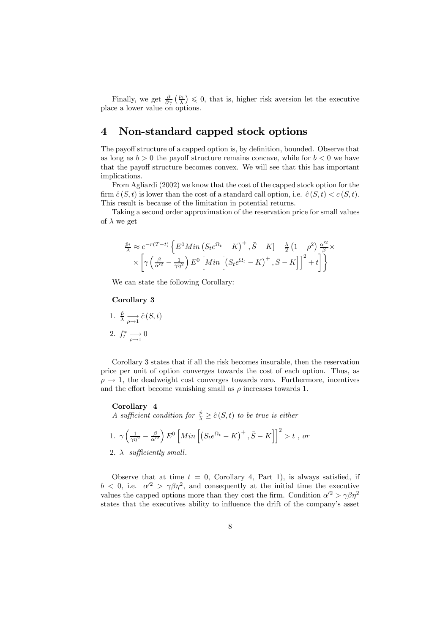Finally, we get  $\frac{\partial}{\partial \gamma} \left( \frac{p_t}{\lambda} \right) \leq 0$ , that is, higher risk aversion let the executive place a lower value on options.

# 4 Non-standard capped stock options

The payoff structure of a capped option is, by definition, bounded. Observe that as long as  $b > 0$  the payoff structure remains concave, while for  $b < 0$  we have that the payoff structure becomes convex. We will see that this has important implications.

From Agliardi (2002) we know that the cost of the capped stock option for the firm  $\hat{c}(S,t)$  is lower than the cost of a standard call option, i.e.  $\hat{c}(S,t) < c(S,t)$ . This result is because of the limitation in potential returns.

Taking a second order approximation of the reservation price for small values of  $\lambda$  we get

$$
\frac{\hat{p}_t}{\lambda} \approx e^{-r(T-t)} \left\{ E^0 \operatorname{Min} \left( S_t e^{\Omega_t} - K \right)^+, \bar{S} - K \right\} - \frac{\lambda}{2} \left( 1 - \rho^2 \right) \frac{\alpha'^2}{\beta} \times \left[ \gamma \left( \frac{\beta}{\alpha'^2} - \frac{1}{\gamma \eta^2} \right) E^0 \left[ \operatorname{Min} \left[ \left( S_t e^{\Omega_t} - K \right)^+, \bar{S} - K \right] \right]^2 + t \right] \right\}
$$

We can state the following Corollary:

#### Corollary 3

1. 
$$
\frac{\hat{p}}{\lambda} \underset{\rho \to 1}{\longrightarrow} \hat{c}(S, t)
$$
  
2. 
$$
f_t^* \underset{\rho \to 1}{\longrightarrow} 0
$$

Corollary 3 states that if all the risk becomes insurable, then the reservation price per unit of option converges towards the cost of each option. Thus, as  $\rho \rightarrow 1$ , the deadweight cost converges towards zero. Furthermore, incentives and the effort become vanishing small as  $\rho$  increases towards 1.

#### Corollary 4

A sufficient condition for  $\frac{\hat{p}}{\lambda} \geq \hat{c}(S,t)$  to be true is either

1. 
$$
\gamma \left(\frac{1}{\gamma \eta^2} - \frac{\beta}{\alpha'^2}\right) E^0 \left[ Min \left[ \left(S_t e^{\Omega_t} - K\right)^+, \bar{S} - K \right] \right]^2 > t
$$
, or  
2.  $\lambda$  sufficiently small.

Observe that at time  $t = 0$ , Corollary 4, Part 1), is always satisfied, if  $b < 0$ , i.e.  $\alpha'^2 > \gamma \beta \eta^2$ , and consequently at the initial time the executive values the capped options more than they cost the firm. Condition  $\alpha'^2 > \gamma \beta \eta^2$ states that the executives ability to influence the drift of the company's asset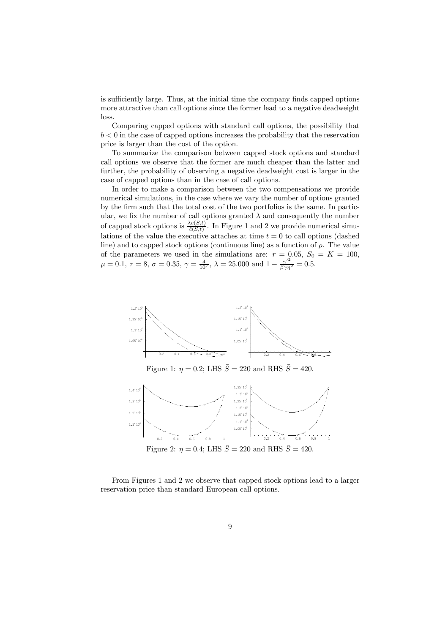is sufficiently large. Thus, at the initial time the company finds capped options more attractive than call options since the former lead to a negative deadweight loss.

Comparing capped options with standard call options, the possibility that  $b < 0$  in the case of capped options increases the probability that the reservation price is larger than the cost of the option.

To summarize the comparison between capped stock options and standard call options we observe that the former are much cheaper than the latter and further, the probability of observing a negative deadweight cost is larger in the case of capped options than in the case of call options.

In order to make a comparison between the two compensations we provide numerical simulations, in the case where we vary the number of options granted by the firm such that the total cost of the two portfolios is the same. In particular, we fix the number of call options granted  $\lambda$  and consequently the number of capped stock options is  $\frac{\lambda c(S,t)}{\hat{c}(S,t)}$ . In Figure 1 and 2 we provide numerical simulations of the value the executive attaches at time  $t = 0$  to call options (dashed line) and to capped stock options (continuous line) as a function of  $\rho$ . The value of the parameters we used in the simulations are:  $r = 0.05$ ,  $S_0 = K = 100$ ,  $\mu = 0.1, \tau = 8, \sigma = 0.35, \gamma = \frac{4}{10^7}, \lambda = 25.000 \text{ and } 1 - \frac{\alpha'^2}{\beta \gamma \eta^2} = 0.5.$ 





From Figures 1 and 2 we observe that capped stock options lead to a larger reservation price than standard European call options.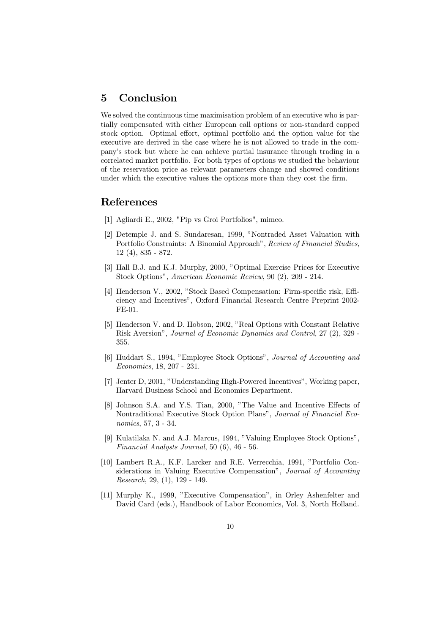# 5 Conclusion

We solved the continuous time maximisation problem of an executive who is partially compensated with either European call options or non-standard capped stock option. Optimal effort, optimal portfolio and the option value for the executive are derived in the case where he is not allowed to trade in the company's stock but where he can achieve partial insurance through trading in a correlated market portfolio. For both types of options we studied the behaviour of the reservation price as relevant parameters change and showed conditions under which the executive values the options more than they cost the firm.

### References

- [1] Agliardi E., 2002, "Pip vs Groi Portfolios", mimeo.
- [2] Detemple J. and S. Sundaresan, 1999, "Nontraded Asset Valuation with Portfolio Constraints: A Binomial Approach", Review of Financial Studies, 12 (4), 835 - 872.
- [3] Hall B.J. and K.J. Murphy, 2000, "Optimal Exercise Prices for Executive Stock Options", American Economic Review, 90 (2), 209 - 214.
- [4] Henderson V., 2002, "Stock Based Compensation: Firm-specific risk, Efficiency and Incentives", Oxford Financial Research Centre Preprint 2002- FE-01.
- [5] Henderson V. and D. Hobson, 2002, "Real Options with Constant Relative Risk Aversion", Journal of Economic Dynamics and Control, 27 (2), 329 - 355.
- [6] Huddart S., 1994, "Employee Stock Options", Journal of Accounting and Economics, 18, 207 - 231.
- [7] Jenter D, 2001, "Understanding High-Powered Incentives", Working paper, Harvard Business School and Economics Department.
- [8] Johnson S.A. and Y.S. Tian, 2000, "The Value and Incentive Effects of Nontraditional Executive Stock Option Plans", Journal of Financial Economics, 57, 3 - 34.
- [9] Kulatilaka N. and A.J. Marcus, 1994, "Valuing Employee Stock Options", Financial Analysts Journal, 50 (6), 46 - 56.
- [10] Lambert R.A., K.F. Larcker and R.E. Verrecchia, 1991, "Portfolio Considerations in Valuing Executive Compensation", Journal of Accounting Research, 29, (1), 129 - 149.
- [11] Murphy K., 1999, "Executive Compensation", in Orley Ashenfelter and David Card (eds.), Handbook of Labor Economics, Vol. 3, North Holland.